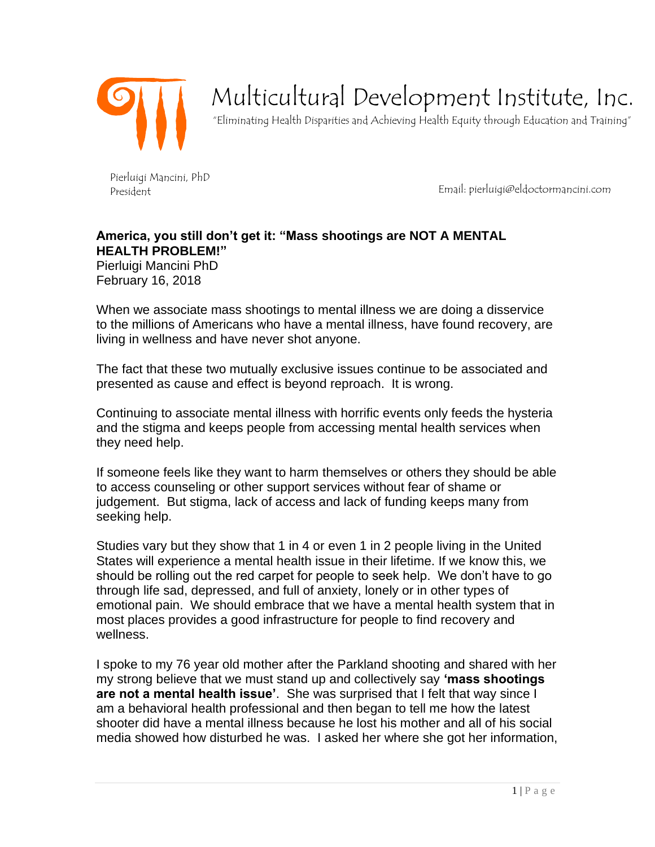

## Multicultural Development Institute, Inc.

"Eliminating Health Disparities and Achieving Health Equity through Education and Training"

Pierluigi Mancini, PhD President

Email: pierluigi@eldoctormancini.com

## **America, you still don't get it: "Mass shootings are NOT A MENTAL HEALTH PROBLEM!"** Pierluigi Mancini PhD

February 16, 2018

When we associate mass shootings to mental illness we are doing a disservice to the millions of Americans who have a mental illness, have found recovery, are living in wellness and have never shot anyone.

The fact that these two mutually exclusive issues continue to be associated and presented as cause and effect is beyond reproach. It is wrong.

Continuing to associate mental illness with horrific events only feeds the hysteria and the stigma and keeps people from accessing mental health services when they need help.

If someone feels like they want to harm themselves or others they should be able to access counseling or other support services without fear of shame or judgement. But stigma, lack of access and lack of funding keeps many from seeking help.

Studies vary but they show that 1 in 4 or even 1 in 2 people living in the United States will experience a mental health issue in their lifetime. If we know this, we should be rolling out the red carpet for people to seek help. We don't have to go through life sad, depressed, and full of anxiety, lonely or in other types of emotional pain. We should embrace that we have a mental health system that in most places provides a good infrastructure for people to find recovery and wellness.

I spoke to my 76 year old mother after the Parkland shooting and shared with her my strong believe that we must stand up and collectively say **'mass shootings are not a mental health issue'**. She was surprised that I felt that way since I am a behavioral health professional and then began to tell me how the latest shooter did have a mental illness because he lost his mother and all of his social media showed how disturbed he was. I asked her where she got her information,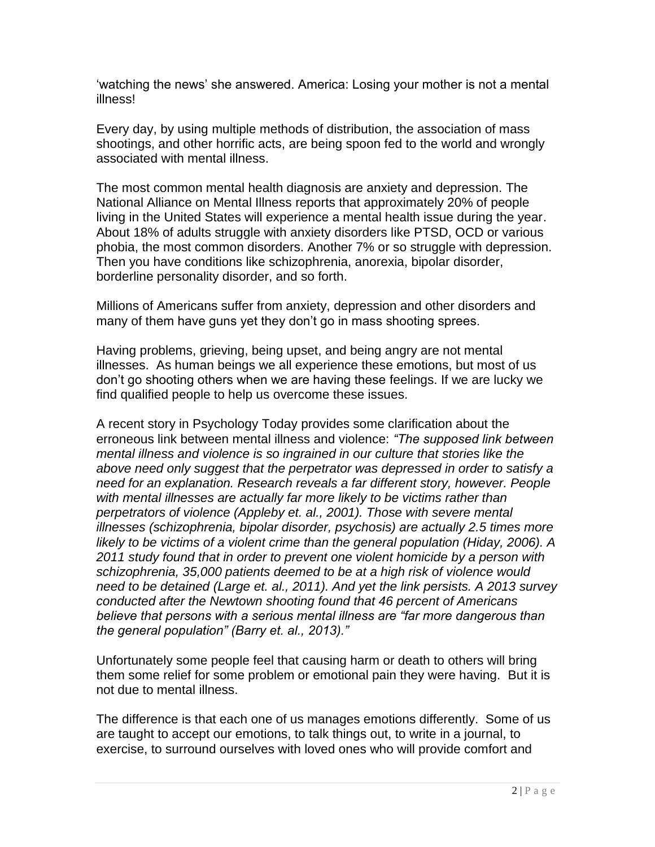'watching the news' she answered. America: Losing your mother is not a mental illness!

Every day, by using multiple methods of distribution, the association of mass shootings, and other horrific acts, are being spoon fed to the world and wrongly associated with mental illness.

The most common mental health diagnosis are anxiety and depression. The National Alliance on Mental Illness reports that approximately 20% of people living in the United States will experience a mental health issue during the year. About 18% of adults struggle with anxiety disorders like PTSD, OCD or various phobia, the most common disorders. Another 7% or so struggle with depression. Then you have conditions like schizophrenia, anorexia, bipolar disorder, borderline personality disorder, and so forth.

Millions of Americans suffer from anxiety, depression and other disorders and many of them have guns yet they don't go in mass shooting sprees.

Having problems, grieving, being upset, and being angry are not mental illnesses. As human beings we all experience these emotions, but most of us don't go shooting others when we are having these feelings. If we are lucky we find qualified people to help us overcome these issues.

A recent story in Psychology Today provides some clarification about the erroneous link between mental illness and violence: *"The supposed link between mental illness and violence is so ingrained in our culture that stories like the above need only suggest that the perpetrator was depressed in order to satisfy a need for an explanation. Research reveals a far different story, however. People with mental illnesses are actually far more likely to be victims rather than perpetrators of violence (Appleby et. al., 2001). Those with severe mental illnesses (schizophrenia, bipolar disorder, psychosis) are actually 2.5 times more likely to be victims of a violent crime than the general population (Hiday, 2006). A 2011 study found that in order to prevent one violent homicide by a person with schizophrenia, 35,000 patients deemed to be at a high risk of violence would need to be detained (Large et. al., 2011). And yet the link persists. A 2013 survey conducted after the Newtown shooting found that 46 percent of Americans believe that persons with a serious mental illness are "far more dangerous than the general population" (Barry et. al., 2013)."*

Unfortunately some people feel that causing harm or death to others will bring them some relief for some problem or emotional pain they were having. But it is not due to mental illness.

The difference is that each one of us manages emotions differently. Some of us are taught to accept our emotions, to talk things out, to write in a journal, to exercise, to surround ourselves with loved ones who will provide comfort and